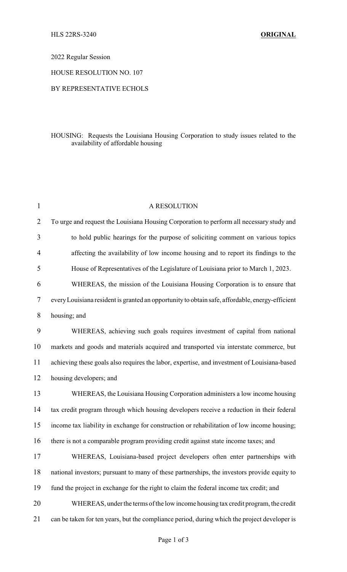2022 Regular Session

HOUSE RESOLUTION NO. 107

## BY REPRESENTATIVE ECHOLS

## HOUSING: Requests the Louisiana Housing Corporation to study issues related to the availability of affordable housing

| $\mathbf 1$    | A RESOLUTION                                                                                    |
|----------------|-------------------------------------------------------------------------------------------------|
| $\overline{2}$ | To urge and request the Louisiana Housing Corporation to perform all necessary study and        |
| 3              | to hold public hearings for the purpose of soliciting comment on various topics                 |
| $\overline{4}$ | affecting the availability of low income housing and to report its findings to the              |
| 5              | House of Representatives of the Legislature of Louisiana prior to March 1, 2023.                |
| 6              | WHEREAS, the mission of the Louisiana Housing Corporation is to ensure that                     |
| 7              | every Louisiana resident is granted an opportunity to obtain safe, affordable, energy-efficient |
| 8              | housing; and                                                                                    |
| 9              | WHEREAS, achieving such goals requires investment of capital from national                      |
| 10             | markets and goods and materials acquired and transported via interstate commerce, but           |
| 11             | achieving these goals also requires the labor, expertise, and investment of Louisiana-based     |
| 12             | housing developers; and                                                                         |
| 13             | WHEREAS, the Louisiana Housing Corporation administers a low income housing                     |
| 14             | tax credit program through which housing developers receive a reduction in their federal        |
| 15             | income tax liability in exchange for construction or rehabilitation of low income housing;      |
| 16             | there is not a comparable program providing credit against state income taxes; and              |
| 17             | WHEREAS, Louisiana-based project developers often enter partnerships with                       |
| 18             | national investors; pursuant to many of these partnerships, the investors provide equity to     |
| 19             | fund the project in exchange for the right to claim the federal income tax credit; and          |
| 20             | WHEREAS, under the terms of the low income housing tax credit program, the credit               |
| 21             | can be taken for ten years, but the compliance period, during which the project developer is    |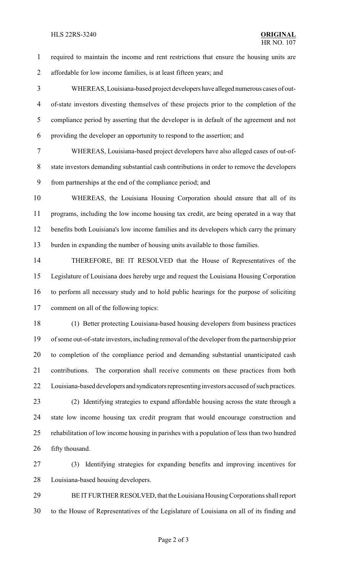## HLS 22RS-3240 **ORIGINAL**

required to maintain the income and rent restrictions that ensure the housing units are

affordable for low income families, is at least fifteen years; and

 WHEREAS, Louisiana-based project developers have alleged numerous cases of out- of-state investors divesting themselves of these projects prior to the completion of the compliance period by asserting that the developer is in default of the agreement and not providing the developer an opportunity to respond to the assertion; and

 WHEREAS, Louisiana-based project developers have also alleged cases of out-of- state investors demanding substantial cash contributions in order to remove the developers from partnerships at the end of the compliance period; and

 WHEREAS, the Louisiana Housing Corporation should ensure that all of its programs, including the low income housing tax credit, are being operated in a way that benefits both Louisiana's low income families and its developers which carry the primary burden in expanding the number of housing units available to those families.

 THEREFORE, BE IT RESOLVED that the House of Representatives of the Legislature of Louisiana does hereby urge and request the Louisiana Housing Corporation to perform all necessary study and to hold public hearings for the purpose of soliciting comment on all of the following topics:

 (1) Better protecting Louisiana-based housing developers from business practices of some out-of-state investors, including removal of the developer from the partnership prior to completion of the compliance period and demanding substantial unanticipated cash contributions. The corporation shall receive comments on these practices from both 22 Louisiana-based developers and syndicators representing investors accused of such practices.

 (2) Identifying strategies to expand affordable housing across the state through a state low income housing tax credit program that would encourage construction and rehabilitation of low income housing in parishes with a population of less than two hundred fifty thousand.

 (3) Identifying strategies for expanding benefits and improving incentives for Louisiana-based housing developers.

29 BE IT FURTHER RESOLVED, that the Louisiana Housing Corporations shall report to the House of Representatives of the Legislature of Louisiana on all of its finding and